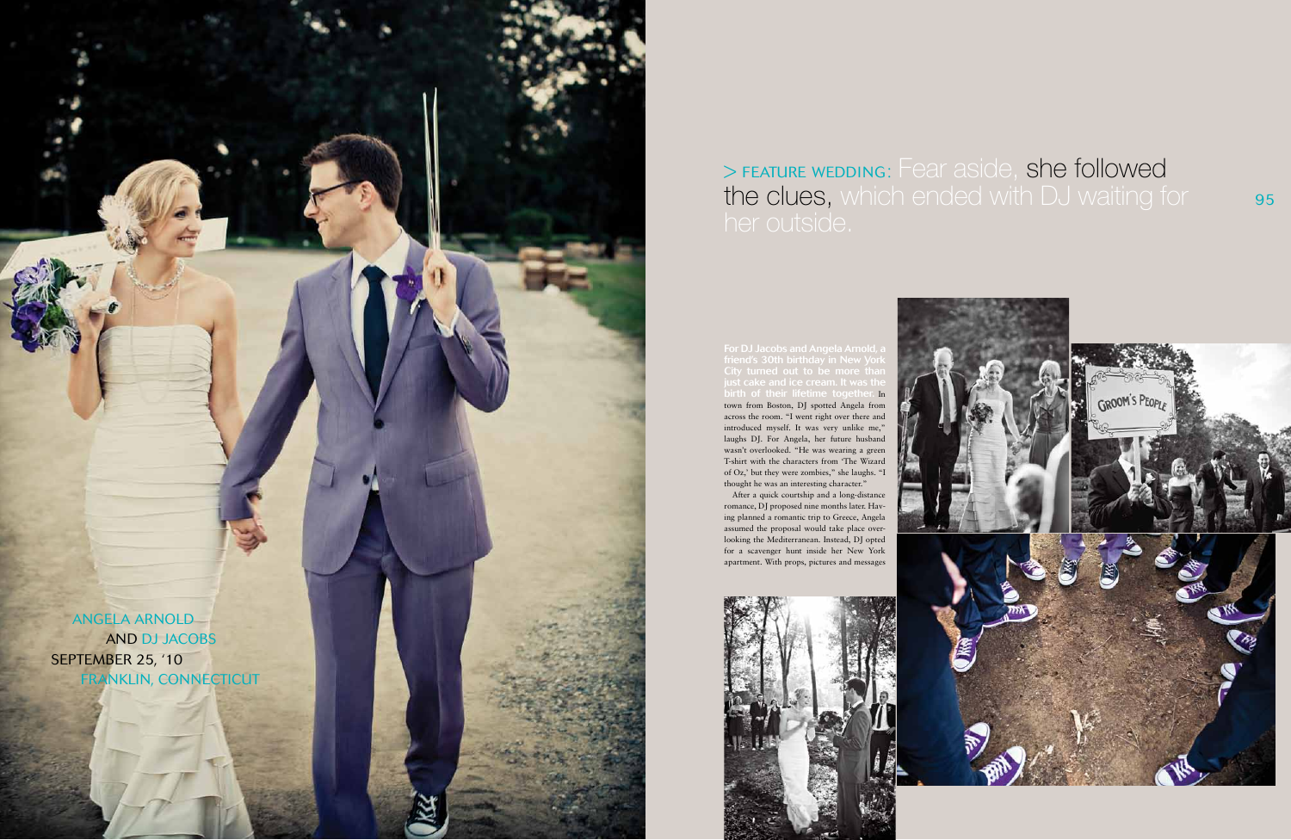95



## > FEATURE WEDDING: Fear aside, she followed the clues, which ended with DJ waiting for

friend's 30th birthday in New York birth of their lifetime together. In town from Boston, DJ spotted Angela from across the room. "I went right over there and introduced myself. It was very unlike me," laughs DJ. For Angela, her future husband wasn't overlooked. "He was wearing a green T-shirt with the characters from 'The Wizard of Oz,' but they were zombies," she laughs. "I thought he was an interesting character."